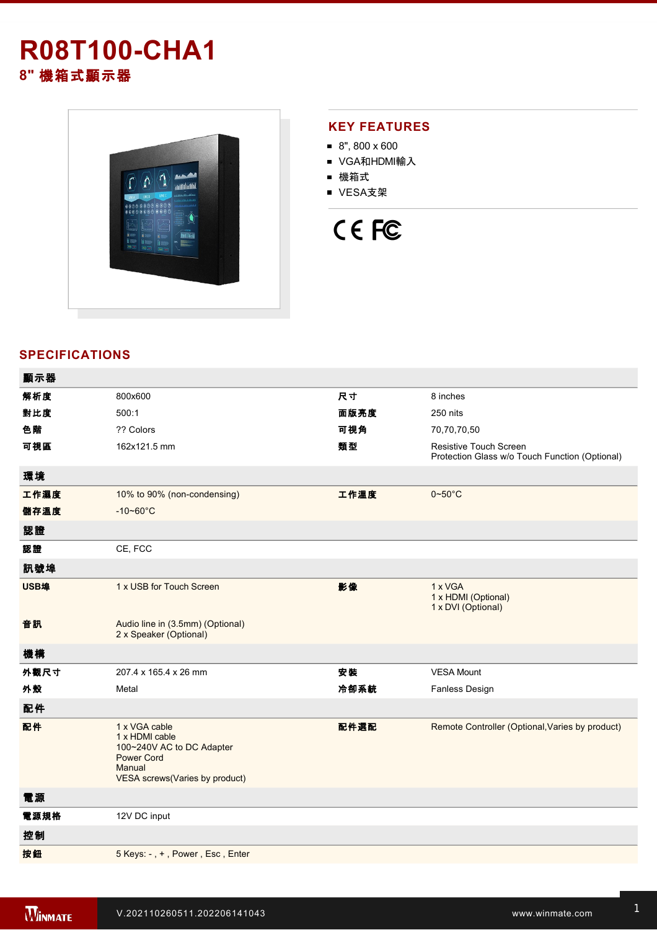## **R08T100-CHA1 8"** 機箱式顯示器



#### **KEY FEATURES**

- 8", 800 x 600
- VGA和HDMI輸入
- 機箱式
- VESA支架

# CE FC

### **SPECIFICATIONS**

| 顯示器  |                                                                                                                               |      |                                                                          |
|------|-------------------------------------------------------------------------------------------------------------------------------|------|--------------------------------------------------------------------------|
| 解析度  | 800x600                                                                                                                       | 尺寸   | 8 inches                                                                 |
| 對比度  | 500:1                                                                                                                         | 面版亮度 | 250 nits                                                                 |
| 色階   | ?? Colors                                                                                                                     | 可視角  | 70,70,70,50                                                              |
| 可視區  | 162x121.5 mm                                                                                                                  | 類型   | Resistive Touch Screen<br>Protection Glass w/o Touch Function (Optional) |
| 環境   |                                                                                                                               |      |                                                                          |
| 工作濕度 | 10% to 90% (non-condensing)                                                                                                   | 工作溫度 | $0 - 50$ °C                                                              |
| 儲存溫度 | $-10 - 60^{\circ}C$                                                                                                           |      |                                                                          |
| 認證   |                                                                                                                               |      |                                                                          |
| 認證   | CE, FCC                                                                                                                       |      |                                                                          |
| 訊號埠  |                                                                                                                               |      |                                                                          |
| USB埠 | 1 x USB for Touch Screen                                                                                                      | 影像   | 1 x VGA<br>1 x HDMI (Optional)<br>1 x DVI (Optional)                     |
| 音訊   | Audio line in (3.5mm) (Optional)<br>2 x Speaker (Optional)                                                                    |      |                                                                          |
| 機構   |                                                                                                                               |      |                                                                          |
| 外觀尺寸 | 207.4 x 165.4 x 26 mm                                                                                                         | 安装   | <b>VESA Mount</b>                                                        |
| 外殼   | Metal                                                                                                                         | 冷卻系統 | Fanless Design                                                           |
| 配件   |                                                                                                                               |      |                                                                          |
| 配件   | 1 x VGA cable<br>1 x HDMI cable<br>100~240V AC to DC Adapter<br><b>Power Cord</b><br>Manual<br>VESA screws(Varies by product) | 配件選配 | Remote Controller (Optional, Varies by product)                          |
| 電源   |                                                                                                                               |      |                                                                          |
| 電源規格 | 12V DC input                                                                                                                  |      |                                                                          |
| 控制   |                                                                                                                               |      |                                                                          |
| 按鈕   | 5 Keys: -, +, Power, Esc, Enter                                                                                               |      |                                                                          |
|      |                                                                                                                               |      |                                                                          |

**DIMENSIONS**  UNIT:MM